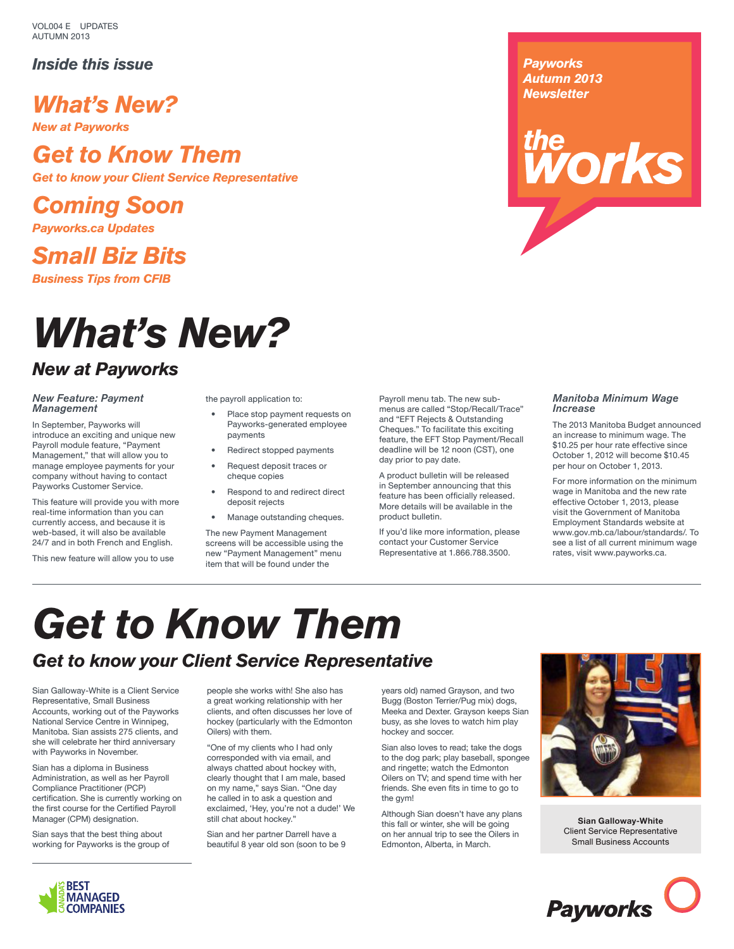VOL004 E UPDATES AUTUMN 2013

### *Inside this issue*

*What's New?*

*New at Payworks*

## *Get to Know Them*

*Get to know your Client Service Representative*

*Coming Soon*

*Payworks.ca Updates*

*Small Biz Bits Business Tips from CFIB*

# *What's New?*

### *New at Payworks*

#### *New Feature: Payment Management*

In September, Payworks will introduce an exciting and unique new Payroll module feature, "Payment Management," that will allow you to manage employee payments for your company without having to contact Payworks Customer Service.

This feature will provide you with more real-time information than you can currently access, and because it is web-based, it will also be available 24/7 and in both French and English.

This new feature will allow you to use

the payroll application to:

- Place stop payment requests on Payworks-generated employee payments
- Redirect stopped payments
- Request deposit traces or cheque copies
- Respond to and redirect direct deposit rejects
- Manage outstanding cheques.

The new Payment Management screens will be accessible using the new "Payment Management" menu item that will be found under the

Payroll menu tab. The new submenus are called "Stop/Recall/Trace" and "EFT Rejects & Outstanding Cheques." To facilitate this exciting feature, the EFT Stop Payment/Recall deadline will be 12 noon (CST), one day prior to pay date.

A product bulletin will be released in September announcing that this feature has been officially released. More details will be available in the product bulletin.

If you'd like more information, please contact your Customer Service Representative at 1.866.788.3500.

### *Manitoba Minimum Wage Increase*

*rorks</sub>* 

*Payworks Autumn 2013 Newsletter*

> The 2013 Manitoba Budget announced an increase to minimum wage. The \$10.25 per hour rate effective since October 1, 2012 will become \$10.45 per hour on October 1, 2013.

> For more information on the minimum wage in Manitoba and the new rate effective October 1, 2013, please visit the Government of Manitoba Employment Standards website at www.gov.mb.ca/labour/standards/. To see a list of all current minimum wage rates, visit www.payworks.ca.

# *Get to Know Them*

## *Get to know your Client Service Representative*

Sian Galloway-White is a Client Service Representative, Small Business Accounts, working out of the Payworks National Service Centre in Winnipeg, Manitoba. Sian assists 275 clients, and she will celebrate her third anniversary with Payworks in November.

Sian has a diploma in Business Administration, as well as her Payroll Compliance Practitioner (PCP) certification. She is currently working on the first course for the Certified Payroll Manager (CPM) designation.

Sian says that the best thing about working for Payworks is the group of people she works with! She also has a great working relationship with her clients, and often discusses her love of hockey (particularly with the Edmonton Oilers) with them.

"One of my clients who I had only corresponded with via email, and always chatted about hockey with, clearly thought that I am male, based on my name," says Sian. "One day he called in to ask a question and exclaimed, 'Hey, you're not a dude!' We still chat about hockey."

Sian and her partner Darrell have a beautiful 8 year old son (soon to be 9

years old) named Grayson, and two Bugg (Boston Terrier/Pug mix) dogs, Meeka and Dexter. Grayson keeps Sian busy, as she loves to watch him play hockey and soccer.

Sian also loves to read; take the dogs to the dog park; play baseball, spongee and ringette; watch the Edmonton Oilers on TV; and spend time with her friends. She even fits in time to go to the gym!

Although Sian doesn't have any plans this fall or winter, she will be going on her annual trip to see the Oilers in Edmonton, Alberta, in March.



**Sian Galloway-White** Client Service Representative Small Business Accounts